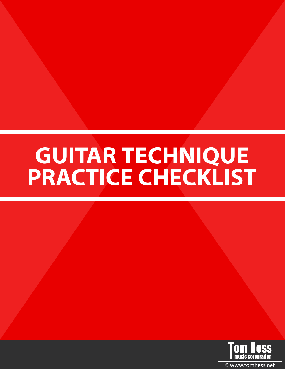# **GUITAR TECHNIQUE PRACTICE CHECKLIST**